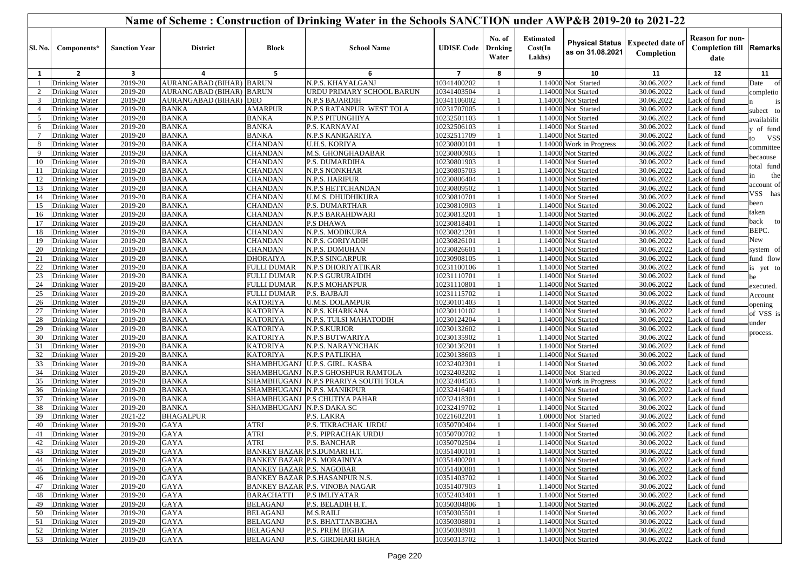|                 | Name of Scheme: Construction of Drinking Water in the Schools SANCTION under AWP&B 2019-20 to 2021-22 |                      |                                 |                                     |                                        |                            |                                   |                                       |                                            |                                                  |                                                                  |                                       |
|-----------------|-------------------------------------------------------------------------------------------------------|----------------------|---------------------------------|-------------------------------------|----------------------------------------|----------------------------|-----------------------------------|---------------------------------------|--------------------------------------------|--------------------------------------------------|------------------------------------------------------------------|---------------------------------------|
| <b>Sl. No.</b>  | Components*                                                                                           | <b>Sanction Year</b> | <b>District</b>                 | <b>Block</b>                        | <b>School Name</b>                     | <b>UDISE Code</b>          | No. of<br><b>Drnking</b><br>Water | <b>Estimated</b><br>Cost(In<br>Lakhs) | as on 31.08.2021                           | Physical Status   Expected date of<br>Completion | <b>Reason for non-</b><br><b>Completion till Remarks</b><br>date |                                       |
| 1               | $\mathbf{2}$                                                                                          | 3                    | 4                               | 5                                   | 6                                      | $\overline{7}$             | 8                                 | 9                                     | 10                                         | 11                                               | 12                                                               | 11                                    |
| -1              | Drinking Water                                                                                        | 2019-20              | <b>AURANGABAD (BIHAR) BARUN</b> |                                     | N.P.S. KHAYALGANJ                      | 10341400202                |                                   |                                       | 1.14000 Not Started                        | 30.06.2022                                       | ack of fund                                                      | Date of                               |
| 2               | Drinking Water                                                                                        | 2019-20              | <b>AURANGABAD (BIHAR) BARUN</b> |                                     | URDU PRIMARY SCHOOL BARUN              | 10341403504                |                                   |                                       | 1.14000 Not Started                        | 30.06.2022                                       | ack of fund                                                      | completio                             |
| $\mathbf{3}$    | Drinking Water                                                                                        | 2019-20              | AURANGABAD (BIHAR) DEO          |                                     | N.P.S BAJARDIH                         | 10341106002                |                                   |                                       | 1.14000 Not Started                        | 30.06.2022                                       | ack of fund                                                      | is                                    |
| $\overline{4}$  | Drinking Water                                                                                        | 2019-20              | <b>BANKA</b>                    | <b>AMARPUR</b>                      | N.P.S RATANPUR WEST TOLA               | 10231707005                |                                   |                                       | 1.14000 Not Started                        | 30.06.2022                                       | Lack of fund                                                     | ubect to                              |
| 5               | Drinking Water                                                                                        | 2019-20              | <b>BANKA</b>                    | <b>BANKA</b>                        | N.P.S PITUNGHIYA                       | 10232501103                |                                   |                                       | 1.14000 Not Started                        | 30.06.2022                                       | Lack of fund                                                     | availabilit                           |
| 6               | Drinking Water                                                                                        | 2019-20              | <b>BANKA</b>                    | <b>BANKA</b>                        | P.S. KARNAVAI                          | 10232506103                |                                   |                                       | 1.14000 Not Started                        | 30.06.2022                                       | ack of fund                                                      | of fund                               |
| $7\overline{ }$ | Drinking Water                                                                                        | $2019-20$            | <b>BANKA</b>                    | <b>BANKA</b>                        | <b>N.P.S KANIGARIYA</b>                | 10232511709                |                                   |                                       | 1.14000 Not Started                        | 30.06.2022                                       | ack of fund                                                      | <b>VSS</b><br>$\overline{\mathbf{0}}$ |
| 8               | Drinking Water                                                                                        | 2019-20              | <b>BANKA</b>                    | <b>CHANDAN</b>                      | <b>U.H.S. KORIYA</b>                   | 10230800101                |                                   |                                       | 1.14000 Work in Progress                   | 30.06.2022                                       | ack of fund                                                      | committee                             |
| 9               | Drinking Water                                                                                        | 2019-20              | <b>BANKA</b>                    | <b>CHANDAN</b>                      | <b>M.S. GHONGHADABAR</b>               | 10230800903                |                                   |                                       | 1.14000 Not Started                        | 30.06.2022                                       | Lack of fund                                                     | pecaouse                              |
| 10              | Drinking Water                                                                                        | 2019-20              | <b>BANKA</b>                    | <b>CHANDAN</b>                      | P.S. DUMARDIHA                         | 10230801903                |                                   |                                       | 1.14000 Not Started                        | 30.06.2022                                       | ack of fund                                                      | total fund                            |
| 11              | Drinking Water                                                                                        | 2019-20              | <b>BANKA</b>                    | <b>CHANDAN</b>                      | <b>N.P.S NONKHAR</b>                   | 10230805703                |                                   |                                       | 1.14000 Not Started                        | 30.06.2022                                       | Lack of fund                                                     | the<br>n                              |
| 12              | Drinking Water                                                                                        | 2019-20              | <b>BANKA</b>                    | <b>CHANDAN</b>                      | N.P.S. HARIPUR                         | 10230806404                |                                   |                                       | 1.14000 Not Started                        | 30.06.2022                                       | Lack of fund                                                     | account of                            |
| 13              | Drinking Water                                                                                        | $2019-20$            | <b>BANKA</b>                    | <b>CHANDAN</b>                      | N.P.S HETTCHANDAN                      | 10230809502                |                                   |                                       | 1.14000 Not Started                        | 30.06.2022                                       | ack of fund                                                      | VSS has                               |
| 14              | Drinking Water                                                                                        | 2019-20              | <b>BANKA</b>                    | <b>CHANDAN</b>                      | U.M.S. DHUDHIKURA                      | 10230810701                |                                   |                                       | 1.14000 Not Started                        | 30.06.2022                                       | ack of fund                                                      | been                                  |
| 15              | Drinking Water                                                                                        | 2019-20              | <b>BANKA</b>                    | <b>CHANDAN</b>                      | P.S. DUMARTHAR                         | 10230810903                |                                   |                                       | 1.14000 Not Started                        | 30.06.2022                                       | Lack of fund                                                     | taken                                 |
| 16              | Drinking Water                                                                                        | 2019-20              | <b>BANKA</b>                    | <b>CHANDAN</b>                      | N.P.S BARAHDWARI                       | 10230813201                |                                   |                                       | 1.14000 Not Started                        | 30.06.2022                                       | Lack of fund                                                     | back to                               |
| 17              | Drinking Water                                                                                        | 2019-20              | <b>BANKA</b>                    | <b>CHANDAN</b>                      | <b>P.S DHAWA</b>                       | 10230818401                |                                   |                                       | 1.14000 Not Started                        | 30.06.2022                                       | Lack of fund                                                     | BEPC.                                 |
| 18<br>19        | Drinking Water                                                                                        | 2019-20              | <b>BANKA</b>                    | <b>CHANDAN</b><br><b>CHANDAN</b>    | N.P.S. MODIKURA                        | 10230821201                |                                   |                                       | 1.14000 Not Started                        | 30.06.2022                                       | Lack of fund                                                     | New                                   |
| 20              | Drinking Water                                                                                        | 2019-20<br>2019-20   | <b>BANKA</b><br><b>BANKA</b>    | <b>CHANDAN</b>                      | N.P.S. GORIYADIH<br>N.P.S. DOMUHAN     | 10230826101                |                                   |                                       | 1.14000 Not Started                        | 30.06.2022<br>30.06.2022                         | Lack of fund<br>Lack of fund                                     | system of                             |
| 21              | Drinking Water<br>Drinking Water                                                                      | 2019-20              | <b>BANKA</b>                    | <b>DHORAIYA</b>                     | <b>N.P.S SINGARPUR</b>                 | 10230826601<br>10230908105 |                                   |                                       | 1.14000 Not Started<br>1.14000 Not Started | 30.06.2022                                       | Lack of fund                                                     | fund flow                             |
| 22              | Drinking Water                                                                                        | 2019-20              | <b>BANKA</b>                    | <b>FULLI DUMAR</b>                  | N.P.S DHORIYATIKAR                     | 10231100106                |                                   |                                       | 1.14000 Not Started                        | 30.06.2022                                       | ack of fund                                                      |                                       |
| 23              | Drinking Water                                                                                        | 2019-20              | <b>BANKA</b>                    | <b>FULLI DUMAR</b>                  | <b>N.P.S GURURAIDIH</b>                | 10231110701                |                                   |                                       | 1.14000 Not Started                        | 30.06.2022                                       | Lack of fund                                                     | is yet to                             |
| 24              | Drinking Water                                                                                        | 2019-20              | <b>BANKA</b>                    | <b>FULLI DUMAR</b>                  | N.P.S MOHANPUR                         | 10231110801                |                                   |                                       | 1.14000 Not Started                        | 30.06.2022                                       | Lack of fund                                                     | œ                                     |
| 25              | Drinking Water                                                                                        | 2019-20              | <b>BANKA</b>                    | <b>FULLI DUMAR</b>                  | P.S. BAJBAJI                           | 10231115702                |                                   |                                       | 1.14000 Not Started                        | 30.06.2022                                       | Lack of fund                                                     | executed.                             |
| 26              | Drinking Water                                                                                        | 2019-20              | <b>BANKA</b>                    | <b>KATORIYA</b>                     | U.M.S. DOLAMPUR                        | 10230101403                |                                   |                                       | 1.14000 Not Started                        | 30.06.2022                                       | ack of fund                                                      | Account                               |
| 27              | Drinking Water                                                                                        | 2019-20              | <b>BANKA</b>                    | <b>KATORIYA</b>                     | N.P.S. KHARKANA                        | 10230110102                |                                   |                                       | 1.14000 Not Started                        | 30.06.2022                                       | Lack of fund                                                     | pening                                |
| 28              | Drinking Water                                                                                        | 2019-20              | <b>BANKA</b>                    | <b>KATORIYA</b>                     | N.P.S. TULSI MAHATODIH                 | 10230124204                |                                   |                                       | 1.14000 Not Started                        | 30.06.2022                                       | ack of fund                                                      | of VSS is                             |
| 29              | Drinking Water                                                                                        | 2019-20              | <b>BANKA</b>                    | <b>KATORIYA</b>                     | N.P.S.KURJOR                           | 10230132602                |                                   |                                       | 1.14000 Not Started                        | 30.06.2022                                       | Lack of fund                                                     | under                                 |
| 30              | Drinking Water                                                                                        | 2019-20              | <b>BANKA</b>                    | <b>KATORIYA</b>                     | N.P.S BUTWARIYA                        | 10230135902                |                                   |                                       | 1.14000 Not Started                        | 30.06.2022                                       | Lack of fund                                                     | process.                              |
| 31              | Drinking Water                                                                                        | 2019-20              | <b>BANKA</b>                    | <b>KATORIYA</b>                     | N.P.S. NARAYNCHAK                      | 10230136201                |                                   |                                       | 1.14000 Not Started                        | 30.06.2022                                       | ack of fund                                                      |                                       |
| 32              | Drinking Water                                                                                        | 2019-20              | <b>BANKA</b>                    | <b>KATORIYA</b>                     | N.P.S PATLIKHA                         | 10230138603                |                                   |                                       | 1.14000 Not Started                        | 30.06.2022                                       | ack of fund                                                      |                                       |
| 33              | Drinking Water                                                                                        | 2019-20              | <b>BANKA</b>                    |                                     | SHAMBHUGANJ U.P.S. GIRL. KASBA         | 10232402301                |                                   |                                       | 1.14000 Not Started                        | 30.06.2022                                       | Lack of fund                                                     |                                       |
| 34              | Drinking Water                                                                                        | 2019-20              | <b>BANKA</b>                    |                                     | SHAMBHUGANJ   N.P.S GHOSHPUR RAMTOLA   | 10232403202                |                                   |                                       | 1.14000 Not Started                        | 30.06.2022                                       | ack of fund                                                      |                                       |
| 35              | Drinking Water                                                                                        | 2019-20              | <b>BANKA</b>                    |                                     | SHAMBHUGANJ   N.P.S PRARIYA SOUTH TOLA | 10232404503                |                                   |                                       | 1.14000 Work in Progress                   | 30.06.2022                                       | ack of fund                                                      |                                       |
| 36              | Drinking Water                                                                                        | 2019-20              | <b>BANKA</b>                    |                                     | SHAMBHUGANJ N.P.S. MANIKPUR            | 10232416401                |                                   |                                       | $1.14000$ Not Started                      | 30.06.2022                                       | Lack of fund                                                     |                                       |
| 37              | Drinking Water                                                                                        | 2019-20              | <b>BANKA</b>                    |                                     | SHAMBHUGANJ P.S CHUTIYA PAHAR          | 10232418301                |                                   |                                       | 1.14000 Not Started                        | 30.06.2022                                       | ack of fund                                                      |                                       |
| 38              | Drinking Water                                                                                        | 2019-20              | <b>BANKA</b>                    | SHAMBHUGANJ N.P.S DAKA SC           |                                        | 10232419702                |                                   |                                       | 1.14000 Not Started                        | 30.06.2022                                       | ack of fund                                                      |                                       |
| 39              | Drinking Water                                                                                        | 2021-22              | <b>BHAGALPUR</b>                |                                     | P.S. LAKRA                             | 10221602201                | -1                                |                                       | 1.00000 Not Started                        | 30.06.2022                                       | ack of fund                                                      |                                       |
| 40              | Drinking Water                                                                                        | 2019-20              | <b>GAYA</b>                     | ATRI                                | P.S. TIKRACHAK URDU                    | 10350700404                |                                   |                                       | 1.14000 Not Started                        | 30.06.2022                                       | Lack of fund                                                     |                                       |
| 41              | Drinking Water                                                                                        | 2019-20              | <b>GAYA</b>                     | ATRI                                | P.S. PIPRACHAK URDU                    | 10350700702                | $\overline{1}$                    |                                       | 1.14000 Not Started                        | 30.06.2022                                       | Lack of fund                                                     |                                       |
| 42              | Drinking Water                                                                                        | $2019-20$            | <b>GAYA</b>                     | ATRI                                | P.S. BANCHAR                           | 10350702504                | $\overline{1}$                    |                                       | 1.14000 Not Started                        | 30.06.2022                                       | Lack of fund                                                     |                                       |
| 43              | Drinking Water                                                                                        | 2019-20              | <b>GAYA</b>                     | <b>BANKEY BAZAR P.S.DUMARI H.T.</b> |                                        | 10351400101                | - 1                               |                                       | 1.14000 Not Started                        | 30.06.2022                                       | Lack of fund                                                     |                                       |
| 44              | Drinking Water                                                                                        | 2019-20              | GAYA                            | <b>BANKEY BAZAR P.S. MORAINIYA</b>  |                                        | 10351400201                |                                   |                                       | 1.14000 Not Started                        | 30.06.2022                                       | Lack of fund                                                     |                                       |
| 45              | Drinking Water                                                                                        | 2019-20              | <b>GAYA</b>                     | <b>BANKEY BAZAR P.S. NAGOBAR</b>    |                                        | 10351400801                |                                   |                                       | 1.14000 Not Started                        | 30.06.2022                                       | Lack of fund                                                     |                                       |
| 46              | Drinking Water                                                                                        | 2019-20              | <b>GAYA</b>                     |                                     | <b>BANKEY BAZAR P.S.HASANPUR N.S.</b>  | 10351403702                |                                   |                                       | 1.14000 Not Started                        | 30.06.2022                                       | Lack of fund                                                     |                                       |
| 47              | Drinking Water                                                                                        | 2019-20              | <b>GAYA</b>                     |                                     | <b>BANKEY BAZAR P.S. VINOBA NAGAR</b>  | 10351407903                |                                   |                                       | 1.14000 Not Started                        | 30.06.2022                                       | Lack of fund                                                     |                                       |
| 48              | Drinking Water                                                                                        | 2019-20              | GAYA                            | <b>BARACHATTI</b>                   | <b>P.S IMLIYATAR</b>                   | 10352403401                |                                   |                                       | 1.14000 Not Started                        | 30.06.2022                                       | Lack of fund                                                     |                                       |
| 49              | Drinking Water                                                                                        | 2019-20              | <b>GAYA</b>                     | <b>BELAGANJ</b>                     | P.S. BELADIH H.T.                      | 10350304806                |                                   |                                       | 1.14000 Not Started                        | 30.06.2022                                       | Lack of fund                                                     |                                       |
| 50              | Drinking Water                                                                                        | 2019-20              | GAYA                            | <b>BELAGANJ</b>                     | M.S.RAILI                              | 10350305501                |                                   |                                       | 1.14000 Not Started                        | 30.06.2022                                       | Lack of fund                                                     |                                       |
| 51              | Drinking Water                                                                                        | 2019-20              | GAYA                            | <b>BELAGANJ</b>                     | P.S. BHATTANBIGHA                      | 10350308801                |                                   |                                       | 1.14000 Not Started                        | 30.06.2022                                       | Lack of fund                                                     |                                       |
| 52              | Drinking Water                                                                                        | 2019-20              | GAYA                            | <b>BELAGANJ</b>                     | P.S. PREM BIGHA                        | 10350308901                |                                   |                                       | 1.14000 Not Started                        | 30.06.2022                                       | Lack of fund                                                     |                                       |
|                 | 53 Drinking Water                                                                                     | 2019-20              | <b>GAYA</b>                     | <b>BELAGANJ</b>                     | P.S. GIRDHARI BIGHA                    | 10350313702                |                                   |                                       | 1.14000 Not Started                        | 30.06.2022                                       | Lack of fund                                                     |                                       |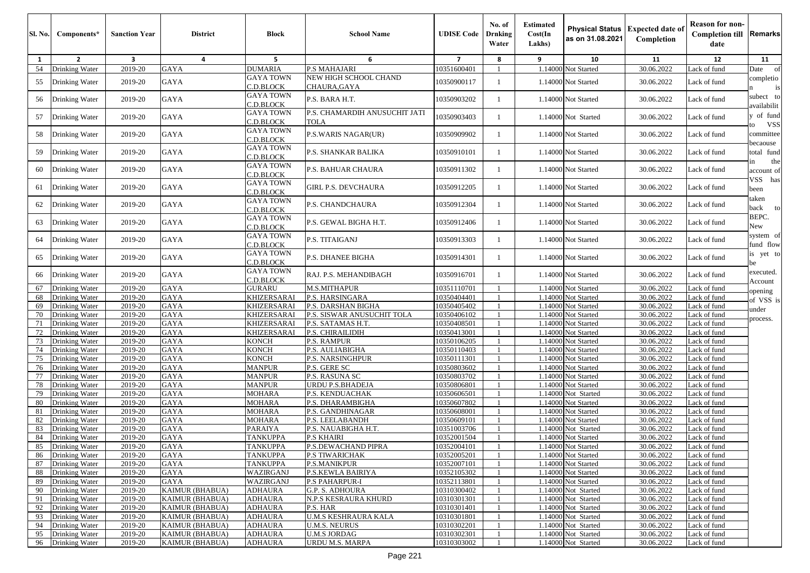| <b>Sl. No.</b> | Components*                      | <b>Sanction Year</b>    | <b>District</b>            | <b>Block</b>                             | <b>School Name</b>                             | <b>UDISE Code</b>          | No. of<br>Drnking<br>Water | <b>Estimated</b><br>Cost(In<br>Lakhs) | <b>Physical Status</b><br>as on 31.08.2021 | <b>Expected date of</b><br>Completion | <b>Reason for non-</b><br><b>Completion till</b><br>date | <b>Remarks</b>          |
|----------------|----------------------------------|-------------------------|----------------------------|------------------------------------------|------------------------------------------------|----------------------------|----------------------------|---------------------------------------|--------------------------------------------|---------------------------------------|----------------------------------------------------------|-------------------------|
| 1              | $\overline{2}$                   | $\overline{\mathbf{3}}$ | $\overline{4}$             | 5                                        | 6                                              | $\overline{7}$             | 8                          | 9                                     | 10                                         | 11                                    | 12                                                       | 11                      |
| 54             | Drinking Water                   | 2019-20                 | GAYA                       | <b>DUMARIA</b>                           | <b>P.S MAHAJARI</b>                            | 10351600401                |                            |                                       | 1.14000 Not Started                        | 30.06.2022                            | Lack of fund                                             | Date                    |
| 55             | Drinking Water                   | 2019-20                 | <b>GAYA</b>                | <b>GAYA TOWN</b>                         | NEW HIGH SCHOOL CHAND                          | 10350900117                |                            |                                       | 1.14000 Not Started                        | 30.06.2022                            | Lack of fund                                             | completio               |
|                |                                  |                         |                            | C.D.BLOCK                                | CHAURA,GAYA                                    |                            |                            |                                       |                                            |                                       |                                                          |                         |
| 56             | Drinking Water                   | 2019-20                 | <b>GAYA</b>                | <b>GAYA TOWN</b><br>C.D.BLOCK            | P.S. BARA H.T.                                 | 10350903202                |                            |                                       | 1.14000 Not Started                        | 30.06.2022                            | Lack of fund                                             | subect to<br>vailabilit |
| 57             | Drinking Water                   | 2019-20                 | <b>GAYA</b>                | <b>GAYA TOWN</b><br>C.D.BLOCK            | P.S. CHAMARDIH ANUSUCHIT JATI<br><b>TOLA</b>   | 10350903403                |                            |                                       | 1.14000 Not Started                        | 30.06.2022                            | Lack of fund                                             | y of fund<br><b>VSS</b> |
| 58             | Drinking Water                   | 2019-20                 | <b>GAYA</b>                | <b>GAYA TOWN</b><br>C.D.BLOCK            | <b>P.S.WARIS NAGAR(UR)</b>                     | 10350909902                |                            |                                       | 1.14000 Not Started                        | 30.06.2022                            | Lack of fund                                             | committee               |
| 59             | Drinking Water                   | 2019-20                 | <b>GAYA</b>                | <b>GAYA TOWN</b><br>C.D.BLOCK            | P.S. SHANKAR BALIKA                            | 10350910101                |                            |                                       | 1.14000 Not Started                        | 30.06.2022                            | Lack of fund                                             | pecaouse<br>total fund  |
| 60             | Drinking Water                   | 2019-20                 | <b>GAYA</b>                | <b>GAYA TOWN</b><br>C.D.BLOCK            | <b>P.S. BAHUAR CHAURA</b>                      | 10350911302                |                            |                                       | 1.14000 Not Started                        | 30.06.2022                            | Lack of fund                                             | the<br>account of       |
| 61             | Drinking Water                   | 2019-20                 | <b>GAYA</b>                | <b>GAYA TOWN</b><br>C.D.BLOCK            | <b>GIRL P.S. DEVCHAURA</b>                     | 10350912205                |                            |                                       | 1.14000 Not Started                        | 30.06.2022                            | Lack of fund                                             | VSS has<br>been         |
| 62             | Drinking Water                   | 2019-20                 | GAYA                       | <b>GAYA TOWN</b><br>C.D.BLOCK            | P.S. CHANDCHAURA                               | 10350912304                |                            |                                       | 1.14000 Not Started                        | 30.06.2022                            | Lack of fund                                             | taken<br>back<br>to     |
| 63             | Drinking Water                   | 2019-20                 | GAYA                       | <b>GAYA TOWN</b><br>C.D.BLOCK            | P.S. GEWAL BIGHA H.T.                          | 10350912406                |                            |                                       | 1.14000 Not Started                        | 30.06.2022                            | Lack of fund                                             | BEPC.<br>New            |
| 64             | Drinking Water                   | 2019-20                 | GAYA                       | <b>GAYA TOWN</b><br>C.D.BLOCK            | P.S. TITAIGANJ                                 | 10350913303                |                            |                                       | 1.14000 Not Started                        | 30.06.2022                            | Lack of fund                                             | system of<br>fund flow  |
| 65             | Drinking Water                   | 2019-20                 | GAYA                       | <b>GAYA TOWN</b><br>C.D.BLOCK            | P.S. DHANEE BIGHA                              | 10350914301                |                            |                                       | 1.14000 Not Started                        | 30.06.2022                            | Lack of fund                                             | is yet to               |
| 66             | Drinking Water                   | 2019-20                 | <b>GAYA</b>                | <b>GAYA TOWN</b><br>C.D.BLOCK            | RAJ. P.S. MEHANDIBAGH                          | 10350916701                |                            |                                       | 1.14000 Not Started                        | 30.06.2022                            | Lack of fund                                             | executed.<br>Account    |
| 67             | Drinking Water                   | 2019-20                 | <b>GAYA</b>                | <b>GURARU</b>                            | M.S.MITHAPUR                                   | 10351110701                |                            |                                       | 1.14000 Not Started                        | 30.06.2022                            | ack of fund                                              | pening                  |
| 68             | Drinking Water                   | 2019-20                 | <b>GAYA</b>                | <b>KHIZERSARAI</b>                       | P.S. HARSINGARA                                | 10350404401                |                            |                                       | 1.14000 Not Started                        | 30.06.2022                            | ack of fund                                              | of VSS is               |
| 69             | Drinking Water                   | 2019-20                 | <b>GAYA</b>                | <b>KHIZERSARAI</b>                       | P.S. DARSHAN BIGHA                             | 10350405402                |                            |                                       | 1.14000 Not Started                        | 30.06.2022                            | ack of fund                                              | ınder                   |
| 70<br>71       | Drinking Water<br>Drinking Water | 2019-20<br>2019-20      | <b>GAYA</b><br><b>GAYA</b> | <b>KHIZERSARAI</b><br><b>KHIZERSARAI</b> | P.S. SISWAR ANUSUCHIT TOLA<br>P.S. SATAMAS H.T | 10350406102<br>10350408501 |                            |                                       | 1.14000 Not Started<br>1.14000 Not Started | 30.06.2022<br>30.06.2022              | ack of fund<br>ack of fund                               | process.                |
| 72             | Drinking Water                   | 2019-20                 | <b>GAYA</b>                | <b>KHIZERSARAI</b>                       | P.S. CHIRAILIDIH                               | 10350413001                |                            |                                       | 1.14000 Not Started                        | 30.06.2022                            | ack of fund                                              |                         |
| 73             | Drinking Water                   | 2019-20                 | <b>GAYA</b>                | <b>KONCH</b>                             | <b>P.S. RAMPUR</b>                             | 10350106205                |                            |                                       | 1.14000 Not Started                        | 30.06.2022                            | Lack of fund                                             |                         |
| 74             | Drinking Water                   | 2019-20                 | <b>GAYA</b>                | <b>KONCH</b>                             | P.S. AULIABIGHA                                | 10350110403                |                            |                                       | 1.14000 Not Started                        | 30.06.2022                            | ack of fund                                              |                         |
| 75             | Drinking Water                   | 2019-20                 | <b>GAYA</b>                | <b>KONCH</b>                             | <b>P.S. NARSINGHPUR</b>                        | 10350111301                | $\overline{1}$             |                                       | 1.14000 Not Started                        | 30.06.2022                            | ack of fund                                              |                         |
| 76             | Drinking Water                   | 2019-20                 | <b>GAYA</b>                | <b>MANPUR</b>                            | P.S. GERE SC                                   | 10350803602                |                            |                                       | 1.14000 Not Started                        | 30.06.2022                            | ack of fund                                              |                         |
| 77             | Drinking Water                   | 2019-20                 | <b>GAYA</b>                | <b>MANPUR</b>                            | P.S. RASUNA SC                                 | 10350803702                | $\overline{1}$             |                                       | 1.14000 Not Started                        | 30.06.2022                            | ack of fund                                              |                         |
| 78             | Drinking Water                   | 2019-20                 | <b>GAYA</b>                | <b>MANPUR</b>                            | URDU P.S.BHADEJA                               | 10350806801                |                            |                                       | 1.14000 Not Started                        | 30.06.2022                            | Lack of fund                                             |                         |
| 79             | Drinking Water                   | 2019-20                 | <b>GAYA</b>                | <b>MOHARA</b>                            | P.S. KENDUACHAK                                | 10350606501                |                            |                                       | 1.14000 Not Started                        | 30.06.2022                            | Lack of fund                                             |                         |
| 80             | Drinking Water                   | 2019-20                 | <b>GAYA</b>                | <b>MOHARA</b>                            | P.S. DHARAMBIGHA                               | 10350607802                |                            |                                       | 1.14000 Not Started                        | 30.06.2022                            | Lack of fund                                             |                         |
| 81             | Drinking Water                   | 2019-20                 | <b>GAYA</b>                | MOHARA                                   | P.S. GANDHINAGAR                               | 10350608001                |                            |                                       | 1.14000 Not Started                        | 30.06.2022                            | ack of fund                                              |                         |
| 82             | Drinking Water                   | 2019-20                 | <b>GAYA</b>                | <b>MOHARA</b>                            | P.S. LEELABANDH                                | 10350609101                |                            |                                       | 1.14000 Not Started                        | 30.06.2022                            | Lack of fund                                             |                         |
| 83             | Drinking Water                   | 2019-20                 | GAYA                       | PARAIYA                                  | P.S. NAUABIGHA H.T.                            | 10351003706                |                            |                                       | 1.14000 Not Started                        | 30.06.2022                            | Lack of fund                                             |                         |
| 84             | Drinking Water                   | 2019-20                 | <b>GAYA</b>                | TANKUPPA                                 | <b>P.S KHAIRI</b>                              | 10352001504                |                            |                                       | 1.14000 Not Started                        | 30.06.2022                            | Lack of fund                                             |                         |
| 85             | Drinking Water                   | 2019-20                 | GAYA                       | <b>TANKUPPA</b>                          | P.S.DEWACHAND PIPRA                            | 10352004101<br>10352005201 |                            |                                       | 1.14000 Not Started                        | 30.06.2022                            | Lack of fund                                             |                         |
| 86             | Drinking Water<br>Drinking Water | 2019-20<br>2019-20      | GAYA<br>GAYA               | <b>TANKUPPA</b><br><b>TANKUPPA</b>       | <b>P.S TIWARICHAK</b><br><b>P.S.MANIKPUR</b>   | 10352007101                |                            |                                       | 1.14000 Not Started<br>1.14000 Not Started | 30.06.2022<br>30.06.2022              | Lack of fund<br>Lack of fund                             |                         |
| 87             | Drinking Water                   | 2019-20                 | GAYA                       | WAZIRGANJ                                | P.S.KEWLA BAIRIYA                              | 10352105302                |                            |                                       | 1.14000 Not Started                        | 30.06.2022                            |                                                          |                         |
| 88<br>89       | Drinking Water                   | 2019-20                 | GAYA                       | WAZIRGANJ                                | <b>P.S PAHARPUR-I</b>                          | 10352113801                |                            |                                       | 1.14000 Not Started                        | 30.06.2022                            | Lack of fund<br>Lack of fund                             |                         |
| 90             | Drinking Water                   | 2019-20                 | <b>KAIMUR (BHABUA)</b>     | <b>ADHAURA</b>                           | G.P. S. ADHOURA                                | 10310300402                |                            |                                       | 1.14000 Not Started                        | 30.06.2022                            | Lack of fund                                             |                         |
| 91             | Drinking Water                   | 2019-20                 | <b>KAIMUR (BHABUA)</b>     | <b>ADHAURA</b>                           | <b>N.P.S KESRAURA KHURD</b>                    | 10310301301                |                            |                                       | 1.14000 Not Started                        | 30.06.2022                            | Lack of fund                                             |                         |
| 92             | Drinking Water                   | 2019-20                 | <b>KAIMUR (BHABUA)</b>     | <b>ADHAURA</b>                           | P.S. HAR                                       | 10310301401                |                            |                                       | 1.14000 Not Started                        | 30.06.2022                            | Lack of fund                                             |                         |
| 93             | Drinking Water                   | 2019-20                 | <b>KAIMUR (BHABUA)</b>     | <b>ADHAURA</b>                           | <b>U.M.S KESHRAURA KALA</b>                    | 10310301801                |                            |                                       | 1.14000 Not Started                        | 30.06.2022                            | Lack of fund                                             |                         |
| 94             | Drinking Water                   | 2019-20                 | <b>KAIMUR (BHABUA)</b>     | <b>ADHAURA</b>                           | <b>U.M.S. NEURUS</b>                           | 10310302201                |                            |                                       | 1.14000 Not Started                        | 30.06.2022                            | Lack of fund                                             |                         |
| 95             | Drinking Water                   | 2019-20                 | <b>KAIMUR (BHABUA)</b>     | <b>ADHAURA</b>                           | <b>U.M.S JORDAG</b>                            | 10310302301                |                            |                                       | 1.14000 Not Started                        | 30.06.2022                            | ack of fund                                              |                         |
| 96             | Drinking Water                   | 2019-20                 | <b>KAIMUR (BHABUA)</b>     | <b>ADHAURA</b>                           | <b>URDU M.S. MARPA</b>                         | 10310303002                |                            |                                       | 1.14000 Not Started                        | 30.06.2022                            | Lack of fund                                             |                         |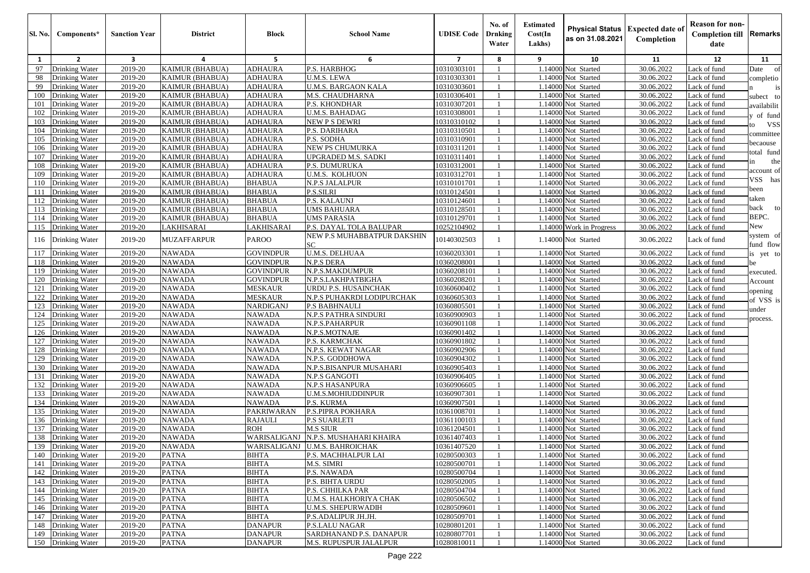| <b>Sl. No.</b> | Components*        | <b>Sanction Year</b>    | <b>District</b>               | <b>Block</b>     | <b>School Name</b>                | <b>UDISE Code</b> | No. of<br>Drnking<br>Water | <b>Estimated</b><br>Cost(In<br>Lakhs) | <b>Physical Status</b><br>as on 31.08.2021 | <b>Expected date of</b><br>Completion | <b>Reason for non-</b><br><b>Completion till</b><br>date | Remarks     |
|----------------|--------------------|-------------------------|-------------------------------|------------------|-----------------------------------|-------------------|----------------------------|---------------------------------------|--------------------------------------------|---------------------------------------|----------------------------------------------------------|-------------|
| 1              | $\overline{2}$     | $\overline{\mathbf{3}}$ | $\overline{a}$                | 5                | 6                                 | $\overline{7}$    | 8                          | 9                                     | 10                                         | 11                                    | 12                                                       | 11          |
| 97             | Drinking Water     | 2019-20                 | <b>KAIMUR (BHABUA)</b>        | <b>ADHAURA</b>   | P.S. HARBHOG                      | 10310303101       |                            |                                       | 1.14000 Not Started                        | 30.06.2022                            | Lack of fund                                             | Date<br>of  |
| 98             | Drinking Water     | 2019-20                 | <b>KAIMUR (BHABUA)</b>        | <b>ADHAURA</b>   | U.M.S. LEWA                       | 10310303301       |                            |                                       | 1.14000 Not Started                        | 30.06.2022                            | Lack of fund                                             | completio   |
| 99             | Drinking Water     | 2019-20                 | <b>KAIMUR (BHABUA)</b>        | <b>ADHAURA</b>   | <b>U.M.S. BARGAON KALA</b>        | 10310303601       |                            |                                       | 1.14000 Not Started                        | 30.06.2022                            | Lack of fund                                             | is          |
| 100            | Drinking Water     | 2019-20                 | <b>KAIMUR (BHABUA)</b>        | ADHAURA          | M.S. CHAUDHARNA                   | 10310306401       |                            |                                       | 1.14000 Not Started                        | 30.06.2022                            | Lack of fund                                             | subect to   |
| 101            | Drinking Water     | 2019-20                 | <b>KAIMUR (BHABUA)</b>        | ADHAURA          | P.S. KHONDHAR                     | 10310307201       | $\overline{1}$             |                                       | 1.14000 Not Started                        | 30.06.2022                            | Lack of fund                                             | availabilit |
| 102            | Drinking Water     | 2019-20                 | <b>KAIMUR (BHABUA)</b>        | ADHAURA          | <b>U.M.S. BAHADAG</b>             | 10310308001       | $\overline{1}$             |                                       | 1.14000 Not Started                        | 30.06.2022                            | Lack of fund                                             | of fund     |
| 103            | Drinking Water     | 2019-20                 | <b>KAIMUR (BHABUA)</b>        | ADHAURA          | <b>NEW P S DEWRI</b>              | 10310310102       | $\overline{1}$             |                                       | 1.14000 Not Started                        | 30.06.2022                            | Lack of fund                                             | VSS         |
| 104            | Drinking Water     | 2019-20                 | <b>KAIMUR (BHABUA)</b>        | <b>ADHAURA</b>   | P.S. DARIHARA                     | 10310310501       |                            |                                       | 1.14000 Not Started                        | 30.06.2022                            | Lack of fund                                             | committee   |
| 105            | Drinking Water     | 2019-20                 | <b>KAIMUR (BHABUA)</b>        | <b>ADHAURA</b>   | P.S. SODHA                        | 10310310901       | $\overline{1}$             |                                       | 1.14000 Not Started                        | 30.06.2022                            | Lack of fund                                             | pecaouse    |
| 106            | Drinking Water     | 2019-20                 | <b>KAIMUR (BHABUA)</b>        | ADHAURA          | <b>NEW PS CHUMURKA</b>            | 10310311201       |                            |                                       | 1.14000 Not Started                        | 30.06.2022                            | Lack of fund                                             | otal fund   |
| 107            | Drinking Water     | 2019-20                 | <b>KAIMUR (BHABUA)</b>        | <b>ADHAURA</b>   | UPGRADED M.S. SADKI               | 10310311401       |                            |                                       | 1.14000 Not Started                        | 30.06.2022                            | Lack of fund                                             | the         |
| 108            | Drinking Water     | 2019-20                 | <b>KAIMUR (BHABUA)</b>        | <b>ADHAURA</b>   | <b>P.S. DUMURUKA</b>              | 10310312001       |                            |                                       | 1.14000 Not Started                        | 30.06.2022                            | Lack of fund                                             | account of  |
| 109            | Drinking Water     | 2019-20                 | <b>KAIMUR (BHABUA)</b>        | ADHAURA          | U.M.S. KOLHUON                    | 10310312701       |                            |                                       | 1.14000 Not Started                        | 30.06.2022                            | Lack of fund                                             | VSS has     |
| 110            | Drinking Water     | 2019-20                 | <b>KAIMUR (BHABUA)</b>        | BHABUA           | N.P.S JALALPUR                    | 10310101701       |                            |                                       | 1.14000 Not Started                        | 30.06.2022                            | Lack of fund                                             | been        |
| 111            | Drinking Water     | 2019-20                 | <b>KAIMUR (BHABUA)</b>        | BHABUA           | P.S.SILRI                         | 10310124501       |                            |                                       | 1.14000 Not Started                        | 30.06.2022                            | Lack of fund                                             | aken        |
| 112            | Drinking Water     | 2019-20                 | <b>KAIMUR (BHABUA)</b>        | <b>BHABUA</b>    | P.S. KALAUNJ                      | 10310124601       |                            |                                       | 1.14000 Not Started                        | 30.06.2022                            | Lack of fund                                             | oack<br>to  |
| 113            | Drinking Water     | 2019-20                 | <b>KAIMUR (BHABUA)</b>        | <b>BHABUA</b>    | UMS BAHUARA<br><b>UMS PARASIA</b> | 10310128501       |                            |                                       | 1.14000 Not Started                        | 30.06.2022                            | Lack of fund                                             | BEPC.       |
| 114            | Drinking Water     | 2019-20                 | KAIMUR (BHABUA)<br>LAKHISARAI | <b>BHABUA</b>    | P.S. DAYAL TOLA BALUPAR           | 10310129701       |                            |                                       | 1.14000 Not Started                        | 30.06.2022                            | Lack of fund<br>Lack of fund                             | New         |
| 115            | Drinking Water     | 2019-20                 |                               | LAKHISARAI       | NEW P.S MUHABBATPUR DAKSHIN       | 10252104902       |                            |                                       | 1.14000 Work in Progress                   | 30.06.2022                            |                                                          | system of   |
| 116            | Drinking Water     | 2019-20                 | <b>MUZAFFARPUR</b>            | <b>PAROO</b>     | SC.                               | 10140302503       | $\overline{1}$             |                                       | 1.14000 Not Started                        | 30.06.2022                            | Lack of fund                                             | und flow    |
| 117            | Drinking Water     | 2019-20                 | <b>NAWADA</b>                 | <b>GOVINDPUR</b> | <b>U.M.S. DELHUAA</b>             | 10360203301       |                            |                                       | 1.14000 Not Started                        | 30.06.2022                            | Lack of fund                                             | is yet to   |
| 118            | Drinking Water     | 2019-20                 | <b>NAWADA</b>                 | <b>GOVINDPUR</b> | N.P.S DERA                        | 10360208001       |                            |                                       | 1.14000 Not Started                        | 30.06.2022                            | Lack of fund                                             | be          |
| 119            | Drinking Water     | 2019-20                 | <b>NAWADA</b>                 | <b>GOVINDPUR</b> | N.P.S.MAKDUMPUR                   | 10360208101       | -1                         |                                       | 1.14000 Not Started                        | 30.06.2022                            | Lack of fund                                             | executed.   |
| 120            | Drinking Water     | 2019-20                 | <b>NAWADA</b>                 | <b>GOVINDPUR</b> | N.P.S.LAKHPATBIGHA                | 10360208201       |                            |                                       | 1.14000 Not Started                        | 30.06.2022                            | Lack of fund                                             | Account     |
| 121            | Drinking Water     | 2019-20                 | <b>NAWADA</b>                 | MESKAUR          | URDU P.S. HUSAINCHAK              | 10360600402       |                            |                                       | 1.14000 Not Started                        | 30.06.2022                            | Lack of fund                                             | pening      |
| 122            | Drinking Water     | 2019-20                 | <b>NAWADA</b>                 | MESKAUR          | N.P.S PUHAKRDI LODIPURCHAK        | 10360605303       |                            |                                       | 1.14000 Not Started                        | 30.06.2022                            | Lack of fund                                             | of VSS is   |
| 123            | Drinking Water     | 2019-20                 | <b>NAWADA</b>                 | NARDIGANJ        | <b>P.S BABHNAULI</b>              | 10360805501       | -1                         |                                       | 1.14000 Not Started                        | 30.06.2022                            | Lack of fund                                             | under       |
| 124            | Drinking Water     | 2019-20                 | <b>NAWADA</b>                 | NAWADA           | N.P.S PATHRA SINDURI              | 10360900903       |                            |                                       | 1.14000 Not Started                        | 30.06.2022                            | Lack of fund                                             | process.    |
| 125            | Drinking Water     | 2019-20                 | <b>NAWADA</b>                 | NAWADA           | N.P.S.PAHARPUR                    | 10360901108       | $\overline{1}$             |                                       | 1.14000 Not Started                        | 30.06.2022                            | Lack of fund                                             |             |
| 126            | Drinking Water     | 2019-20                 | <b>NAWADA</b>                 | NAWADA           | N.P.S.MOTNAJE                     | 10360901402       | $\overline{1}$             |                                       | 1.14000 Not Started                        | 30.06.2022                            | Lack of fund                                             |             |
| 127            | Drinking Water     | 2019-20                 | <b>NAWADA</b>                 | NAWADA           | P.S. KARMCHAK                     | 10360901802       | $\overline{1}$             |                                       | 1.14000 Not Started                        | 30.06.2022                            | Lack of fund                                             |             |
| 128            | Drinking Water     | 2019-20                 | <b>NAWADA</b>                 | NAWADA           | N.P.S. KEWAT NAGAR                | 10360902906       |                            |                                       | 1.14000 Not Started                        | 30.06.2022                            | Lack of fund                                             |             |
| 129            | Drinking Water     | 2019-20                 | <b>NAWADA</b>                 | NAWADA           | N.P.S. GODDHOWA                   | 10360904302       | $\overline{1}$             |                                       | 1.14000 Not Started                        | 30.06.2022                            | Lack of fund                                             |             |
| 130            | Drinking Water     | 2019-20                 | <b>NAWADA</b>                 | NAWADA           | N.P.S.BISANPUR MUSAHARI           | 10360905403       |                            |                                       | 1.14000 Not Started                        | 30.06.2022                            | Lack of fund                                             |             |
| 131            | Drinking Water     | 2019-20                 | <b>NAWADA</b>                 | NAWADA           | <b>N.P.S GANGOTI</b>              | 10360906405       |                            |                                       | 1.14000 Not Started                        | 30.06.2022                            | Lack of fund                                             |             |
| 132            | Drinking Water     | 2019-20                 | <b>NAWADA</b>                 | <b>NAWADA</b>    | N.P.S HASANPURA                   | 10360906605       |                            |                                       | 1.14000 Not Started                        | 30.06.2022                            | Lack of fund                                             |             |
| 133            | Drinking Water     | 2019-20                 | <b>NAWADA</b>                 | <b>NAWADA</b>    | U.M.S.MOHIUDDINPUR                | 10360907301       |                            |                                       | 1.14000 Not Started                        | 30.06.2022                            | Lack of fund                                             |             |
| 134            | Drinking Water     | 2019-20                 | <b>NAWADA</b>                 | <b>NAWADA</b>    | P.S. KURMA                        | 10360907501       |                            |                                       | 1.14000 Not Started                        | 30.06.2022                            | Lack of fund                                             |             |
| 135            | Drinking Water     | 2019-20                 | <b>NAWADA</b>                 | PAKRIWARAN       | P.S.PIPRA POKHARA                 | 10361008701       |                            |                                       | 1.14000 Not Started                        | 30.06.2022                            | Lack of fund                                             |             |
| 136            | Drinking Water     | 2019-20                 | <b>NAWADA</b>                 | <b>RAJAULI</b>   | P.S SUARLETI                      | 10361100103       |                            |                                       | 1.14000 Not Started                        | 30.06.2022                            | Lack of fund                                             |             |
| 137            | Drinking Water     | 2019-20                 | NAWADA                        | ROH              | M.S SIUR                          | 10361204501       |                            |                                       | 1.14000 Not Started                        | 30.06.2022                            | Lack of fund                                             |             |
| 138            | Drinking Water     | 2019-20                 | <b>NAWADA</b>                 | WARISALIGANJ     | N.P.S. MUSHAHARI KHAIRA           | 10361407403       |                            |                                       | 1.14000 Not Started                        | 30.06.2022                            | Lack of fund                                             |             |
|                | 139 Drinking Water | 2019-20                 | NAWADA                        |                  | WARISALIGANJ U.M.S. BAHROICHAK    | 10361407520       |                            |                                       | 1.14000 Not Started                        | 30.06.2022                            | Lack of fund                                             |             |
|                | 140 Drinking Water | 2019-20                 | <b>PATNA</b>                  | BIHTA            | P.S. MACHHALPUR LAI               | 10280500303       |                            |                                       | 1.14000 Not Started                        | 30.06.2022                            | Lack of fund                                             |             |
|                | 141 Drinking Water | 2019-20                 | <b>PATNA</b>                  | BIHTA            | M.S. SIMRI                        | 10280500701       |                            |                                       | 1.14000 Not Started                        | 30.06.2022                            | Lack of fund                                             |             |
|                | 142 Drinking Water | 2019-20                 | <b>PATNA</b>                  | <b>BIHTA</b>     | P.S. NAWADA                       | 10280500704       |                            |                                       | 1.14000 Not Started                        | 30.06.2022                            | Lack of fund                                             |             |
|                | 143 Drinking Water | 2019-20                 | <b>PATNA</b>                  | BIHTA            | P.S. BIHTA URDU                   | 10280502005       |                            |                                       | 1.14000 Not Started                        | 30.06.2022                            | Lack of fund                                             |             |
|                | 144 Drinking Water | 2019-20                 | <b>PATNA</b>                  | BIHTA            | P.S. CHHILKA PAR                  | 10280504704       |                            |                                       | 1.14000 Not Started                        | 30.06.2022                            | Lack of fund                                             |             |
|                | 145 Drinking Water | 2019-20                 | <b>PATNA</b>                  | BIHTA            | U.M.S. HALKHORIYA CHAK            | 10280506502       |                            |                                       | 1.14000 Not Started                        | 30.06.2022                            | Lack of fund                                             |             |
|                | 146 Drinking Water | 2019-20                 | <b>PATNA</b>                  | BIHTA            | U.M.S. SHEPURWADIH                | 10280509601       |                            |                                       | 1.14000 Not Started                        | 30.06.2022                            | Lack of fund                                             |             |
|                | 147 Drinking Water | 2019-20                 | <b>PATNA</b>                  | <b>BIHTA</b>     | P.S.ADALIPUR JH.JH.               | 10280509701       |                            |                                       | 1.14000 Not Started                        | 30.06.2022                            | Lack of fund                                             |             |
|                | 148 Drinking Water | 2019-20                 | <b>PATNA</b>                  | <b>DANAPUR</b>   | <b>P.S.LALU NAGAR</b>             | 10280801201       |                            |                                       | 1.14000 Not Started                        | 30.06.2022                            | Lack of fund                                             |             |
|                | 149 Drinking Water | 2019-20                 | <b>PATNA</b>                  | <b>DANAPUR</b>   | SARDHANAND P.S. DANAPUR           | 10280807701       |                            |                                       | 1.14000 Not Started                        | 30.06.2022                            | Lack of fund                                             |             |
|                | 150 Drinking Water | 2019-20                 | <b>PATNA</b>                  | <b>DANAPUR</b>   | M.S. RUPUSPUR JALALPUR            | 10280810011       |                            |                                       | 1.14000 Not Started                        | 30.06.2022                            | Lack of fund                                             |             |